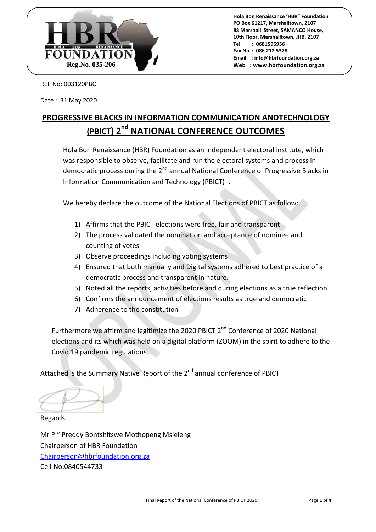

REF No: 003120PBC

Date : 31 May 2020

# **PROGRESSIVE BLACKS IN INFORMATION COMMUNICATION ANDTECHNOLOGY (PBICT) 2 nd NATIONAL CONFERENCE OUTCOMES**

Hola Bon Renaissance (HBR) Foundation as an independent electoral institute, which was responsible to observe, facilitate and run the electoral systems and process in democratic process during the 2<sup>nd</sup> annual National Conference of Progressive Blacks in Information Communication and Technology (PBICT) .

We hereby declare the outcome of the National Elections of PBICT as follow:

- 1) Affirms that the PBICT elections were free, fair and transparent
- 2) The process validated the nomination and acceptance of nominee and counting of votes
- 3) Observe proceedings including voting systems
- 4) Ensured that both manually and Digital systems adhered to best practice of a democratic process and transparent in nature.
- 5) Noted all the reports, activities before and during elections as a true reflection
- 6) Confirms the announcement of elections results as true and democratic
- 7) Adherence to the constitution

Furthermore we affirm and legitimize the 2020 PBICT 2<sup>nd</sup> Conference of 2020 National elections and its which was held on a digital platform (ZOOM) in the spirit to adhere to the Covid 19 pandemic regulations.

Attached is the Summary Native Report of the 2<sup>nd</sup> annual conference of PBICT

Regards

Mr P " Preddy Bontshitswe Mothopeng Msieleng Chairperson of HBR Foundation Chairperson@hbrfoundation.org.za Cell No:0840544733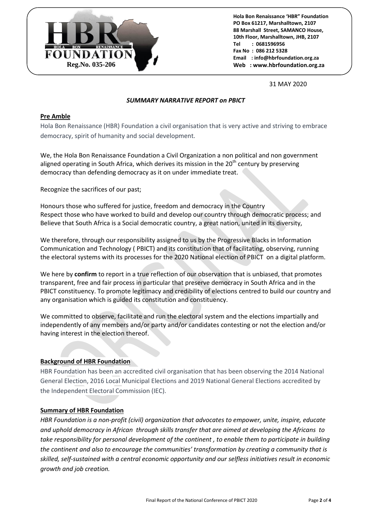

31 MAY 2020

## *SUMMARY NARRATIVE REPORT on PBICT*

## **Pre Amble**

Hola Bon Renaissance (HBR) Foundation a civil organisation that is very active and striving to embrace democracy, spirit of humanity and social development.

We, the Hola Bon Renaissance Foundation a Civil Organization a non political and non government aligned operating in South Africa, which derives its mission in the  $20<sup>th</sup>$  century by preserving democracy than defending democracy as it on under immediate treat.

Recognize the sacrifices of our past;

Honours those who suffered for justice, freedom and democracy in the Country Respect those who have worked to build and develop our country through democratic process; and Believe that South Africa is a Social democratic country, a great nation, united in its diversity,

We therefore, through our responsibility assigned to us by the Progressive Blacks in Information Communication and Technology ( PBICT) and its constitution that of facilitating, observing, running the electoral systems with its processes for the 2020 National election of PBICT on a digital platform.

We here by **confirm** to report in a true reflection of our observation that is unbiased, that promotes transparent, free and fair process in particular that preserve democracy in South Africa and in the PBICT constituency. To promote legitimacy and credibility of elections centred to build our country and any organisation which is guided its constitution and constituency.

We committed to observe, facilitate and run the electoral system and the elections impartially and independently of any members and/or party and/or candidates contesting or not the election and/or having interest in the election thereof.

## **Background of HBR Foundation**

HBR Foundation has been an accredited civil organisation that has been observing the 2014 National General Election, 2016 Local Municipal Elections and 2019 National General Elections accredited by the Independent Electoral Commission (IEC).

## **Summary of HBR Foundation**

*HBR Foundation is a non-profit (civil) organization that advocates to empower, unite, inspire, educate and uphold democracy in African through skills transfer that are aimed at developing the Africans to take responsibility for personal development of the continent , to enable them to participate in building the continent and also to encourage the communities' transformation by creating a community that is skilled, self-sustained with a central economic opportunity and our selfless initiatives result in economic growth and job creation.*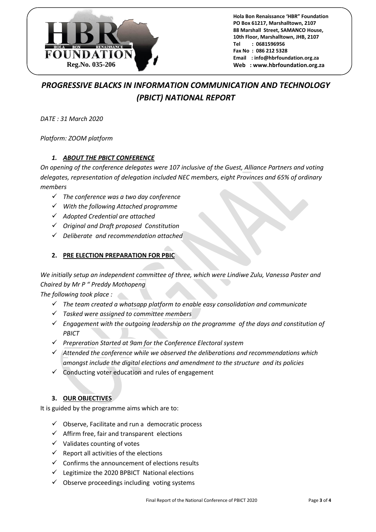

## *PROGRESSIVE BLACKS IN INFORMATION COMMUNICATION AND TECHNOLOGY (PBICT) NATIONAL REPORT*

*DATE : 31 March 2020*

*Platform: ZOOM platform* 

## *1. ABOUT THE PBICT CONFERENCE*

*On opening of the conference delegates were 107 inclusive of the Guest, Alliance Partners and voting delegates, representation of delegation included NEC members, eight Provinces and 65% of ordinary members* 

- *The conference was a two day conference*
- *With the following Attached programme*
- *Adopted Credential are attached*
- *Original and Draft proposed Constitution*
- *Deliberate and recommendation attached*

## **2. PRE ELECTION PREPARATION FOR PBIC**

*We initially setup an independent committee of three, which were Lindiwe Zulu, Vanessa Paster and Chaired by Mr P " Preddy Mothopeng*

*The following took place :* 

- *The team created a whatsapp platform to enable easy consolidation and communicate*
- *Tasked were assigned to committee members*
- *Engagement with the outgoing leadership on the programme of the days and constitution of PBICT*
- *Prepreration Started at 9am for the Conference Electoral system*
- *Attended the conference while we observed the deliberations and recommendations which amongst include the digital elections and amendment to the structure and its policies*
- $\checkmark$  Conducting voter education and rules of engagement

## **3. OUR OBJECTIVES**

It is guided by the programme aims which are to:

- $\checkmark$  Observe, Facilitate and run a democratic process
- $\checkmark$  Affirm free, fair and transparent elections
- $\checkmark$  Validates counting of votes
- $\checkmark$  Report all activities of the elections
- $\checkmark$  Confirms the announcement of elections results
- $\checkmark$  Legitimize the 2020 BPBICT National elections
- $\checkmark$  Observe proceedings including voting systems